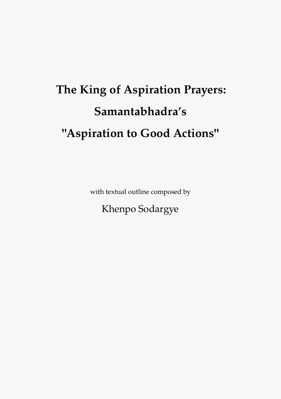# **The King of Aspiration Prayers: Samantabhadra's "Aspiration to Good Actions"**

with textual outline composed by

Khenpo Sodargye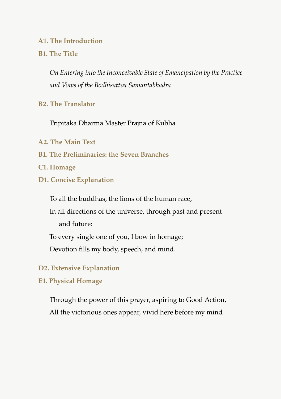### **A1. The Introduction**

### **B1. The Title**

*On Entering into the Inconceivable State of Emancipation by the Practice and Vows of the Bodhisattva Samantabhadra*

### **B2. The Translator**

Tripitaka Dharma Master Prajna of Kubha

- **A2. The Main Text**
- **B1. The Preliminaries: the Seven Branches**
- **C1. Homage**
- **D1. Concise Explanation**

To all the buddhas, the lions of the human race,

In all directions of the universe, through past and present and future:

To every single one of you, I bow in homage;

Devotion fills my body, speech, and mind.

#### **D2. Extensive Explanation**

#### **E1. Physical Homage**

Through the power of this prayer, aspiring to Good Action, All the victorious ones appear, vivid here before my mind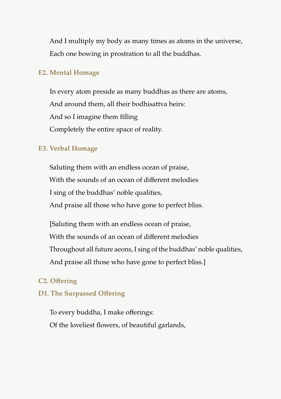And I multiply my body as many times as atoms in the universe, Each one bowing in prostration to all the buddhas.

### **E2. Mental Homage**

In every atom preside as many buddhas as there are atoms, And around them, all their bodhisattva heirs: And so I imagine them filling Completely the entire space of reality.

### **E3. Verbal Homage**

Saluting them with an endless ocean of praise, With the sounds of an ocean of different melodies I sing of the buddhas' noble qualities, And praise all those who have gone to perfect bliss.

[Saluting them with an endless ocean of praise, With the sounds of an ocean of different melodies Throughout all future aeons, I sing of the buddhas' noble qualities, And praise all those who have gone to perfect bliss.]

### **C2. Offering**

### **D1. The Surpassed Offering**

To every buddha, I make offerings: Of the loveliest flowers, of beautiful garlands,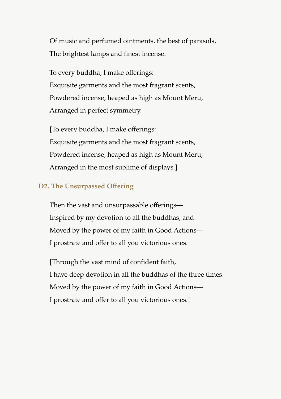Of music and perfumed ointments, the best of parasols, The brightest lamps and finest incense.

To every buddha, I make offerings: Exquisite garments and the most fragrant scents, Powdered incense, heaped as high as Mount Meru, Arranged in perfect symmetry.

[To every buddha, I make offerings: Exquisite garments and the most fragrant scents, Powdered incense, heaped as high as Mount Meru, Arranged in the most sublime of displays.]

### **D2. The Unsurpassed Offering**

Then the vast and unsurpassable offerings— Inspired by my devotion to all the buddhas, and Moved by the power of my faith in Good Actions— I prostrate and offer to all you victorious ones.

[Through the vast mind of confident faith, I have deep devotion in all the buddhas of the three times. Moved by the power of my faith in Good Actions— I prostrate and offer to all you victorious ones.]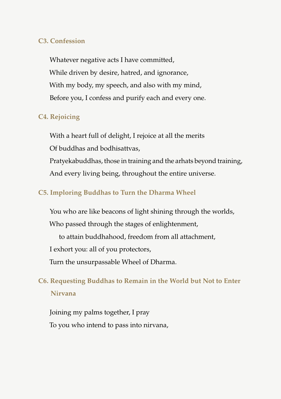#### **C3. Confession**

Whatever negative acts I have committed, While driven by desire, hatred, and ignorance, With my body, my speech, and also with my mind, Before you, I confess and purify each and every one.

### **C4. Rejoicing**

With a heart full of delight, I rejoice at all the merits

Of buddhas and bodhisattvas,

Pratyekabuddhas, those in training and the arhats beyond training, And every living being, throughout the entire universe.

### **C5. Imploring Buddhas to Turn the Dharma Wheel**

You who are like beacons of light shining through the worlds,

Who passed through the stages of enlightenment,

to attain buddhahood, freedom from all attachment,

I exhort you: all of you protectors,

Turn the unsurpassable Wheel of Dharma.

# **C6. Requesting Buddhas to Remain in the World but Not to Enter Nirvana**

Joining my palms together, I pray To you who intend to pass into nirvana,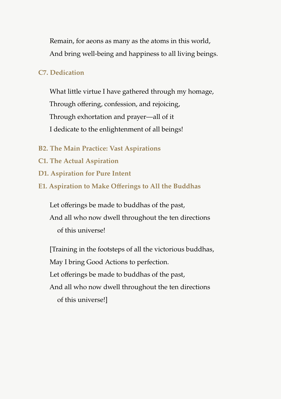Remain, for aeons as many as the atoms in this world, And bring well-being and happiness to all living beings.

### **C7. Dedication**

What little virtue I have gathered through my homage, Through offering, confession, and rejoicing, Through exhortation and prayer—all of it I dedicate to the enlightenment of all beings!

- **B2. The Main Practice: Vast Aspirations**
- **C1. The Actual Aspiration**
- **D1. Aspiration for Pure Intent**
- **E1. Aspiration to Make Offerings to All the Buddhas**

Let offerings be made to buddhas of the past, And all who now dwell throughout the ten directions of this universe!

[Training in the footsteps of all the victorious buddhas, May I bring Good Actions to perfection. Let offerings be made to buddhas of the past, And all who now dwell throughout the ten directions of this universe!]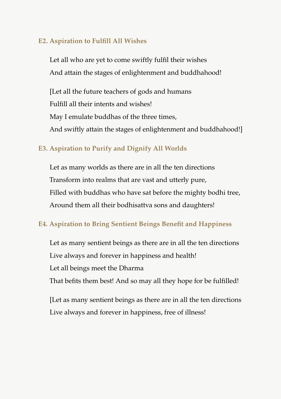### **E2. Aspiration to Fulfill All Wishes**

Let all who are yet to come swiftly fulfil their wishes And attain the stages of enlightenment and buddhahood!

[Let all the future teachers of gods and humans Fulfill all their intents and wishes! May I emulate buddhas of the three times, And swiftly attain the stages of enlightenment and buddhahood!]

# **E3. Aspiration to Purify and Dignify All Worlds**

Let as many worlds as there are in all the ten directions Transform into realms that are vast and utterly pure, Filled with buddhas who have sat before the mighty bodhi tree, Around them all their bodhisattva sons and daughters!

## **E4. Aspiration to Bring Sentient Beings Benefit and Happiness**

Let as many sentient beings as there are in all the ten directions Live always and forever in happiness and health! Let all beings meet the Dharma That befits them best! And so may all they hope for be fulfilled!

[Let as many sentient beings as there are in all the ten directions Live always and forever in happiness, free of illness!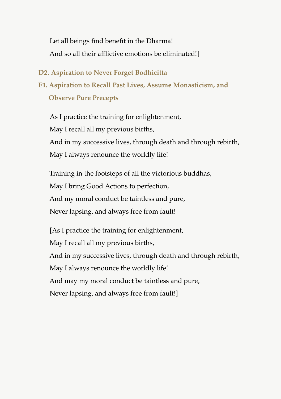Let all beings find benefit in the Dharma! And so all their afflictive emotions be eliminated!]

#### **D2. Aspiration to Never Forget Bodhicitta**

**E1. Aspiration to Recall Past Lives, Assume Monasticism, and Observe Pure Precepts**

As I practice the training for enlightenment, May I recall all my previous births, And in my successive lives, through death and through rebirth, May I always renounce the worldly life!

Training in the footsteps of all the victorious buddhas, May I bring Good Actions to perfection, And my moral conduct be taintless and pure, Never lapsing, and always free from fault!

[As I practice the training for enlightenment, May I recall all my previous births, And in my successive lives, through death and through rebirth, May I always renounce the worldly life! And may my moral conduct be taintless and pure, Never lapsing, and always free from fault!]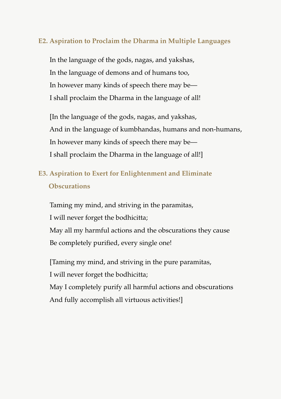### **E2. Aspiration to Proclaim the Dharma in Multiple Languages**

In the language of the gods, nagas, and yakshas, In the language of demons and of humans too, In however many kinds of speech there may be— I shall proclaim the Dharma in the language of all!

[In the language of the gods, nagas, and yakshas, And in the language of kumbhandas, humans and non-humans, In however many kinds of speech there may be— I shall proclaim the Dharma in the language of all!]

# **E3. Aspiration to Exert for Enlightenment and Eliminate Obscurations**

Taming my mind, and striving in the paramitas, I will never forget the bodhicitta; May all my harmful actions and the obscurations they cause Be completely purified, every single one!

[Taming my mind, and striving in the pure paramitas, I will never forget the bodhicitta; May I completely purify all harmful actions and obscurations And fully accomplish all virtuous activities!]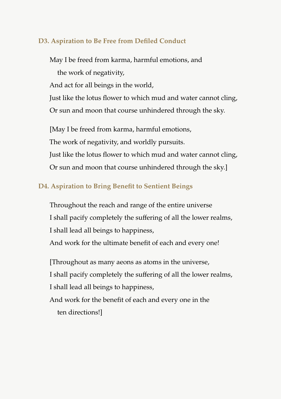### **D3. Aspiration to Be Free from Defiled Conduct**

May I be freed from karma, harmful emotions, and the work of negativity, And act for all beings in the world, Just like the lotus flower to which mud and water cannot cling, Or sun and moon that course unhindered through the sky. [May I be freed from karma, harmful emotions,

The work of negativity, and worldly pursuits.

Just like the lotus flower to which mud and water cannot cling, Or sun and moon that course unhindered through the sky.]

### **D4. Aspiration to Bring Benefit to Sentient Beings**

Throughout the reach and range of the entire universe I shall pacify completely the suffering of all the lower realms, I shall lead all beings to happiness,

And work for the ultimate benefit of each and every one!

[Throughout as many aeons as atoms in the universe, I shall pacify completely the suffering of all the lower realms, I shall lead all beings to happiness, And work for the benefit of each and every one in the ten directions!]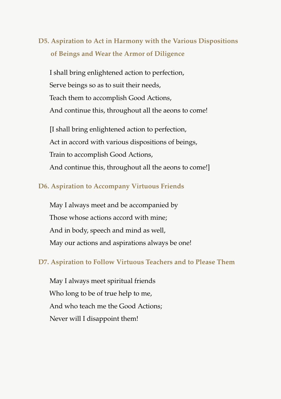# **D5. Aspiration to Act in Harmony with the Various Dispositions of Beings and Wear the Armor of Diligence**

I shall bring enlightened action to perfection, Serve beings so as to suit their needs, Teach them to accomplish Good Actions, And continue this, throughout all the aeons to come!

[I shall bring enlightened action to perfection, Act in accord with various dispositions of beings, Train to accomplish Good Actions, And continue this, throughout all the aeons to come!]

### **D6. Aspiration to Accompany Virtuous Friends**

May I always meet and be accompanied by Those whose actions accord with mine; And in body, speech and mind as well, May our actions and aspirations always be one!

#### **D7. Aspiration to Follow Virtuous Teachers and to Please Them**

May I always meet spiritual friends Who long to be of true help to me, And who teach me the Good Actions; Never will I disappoint them!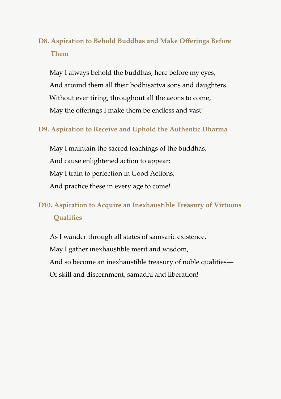# **D8. Aspiration to Behold Buddhas and Make Offerings Before Them**

May I always behold the buddhas, here before my eyes, And around them all their bodhisattva sons and daughters. Without ever tiring, throughout all the aeons to come, May the offerings I make them be endless and vast!

### **D9. Aspiration to Receive and Uphold the Authentic Dharma**

May I maintain the sacred teachings of the buddhas, And cause enlightened action to appear; May I train to perfection in Good Actions, And practice these in every age to come!

# **D10. Aspiration to Acquire an Inexhaustible Treasury of Virtuous Qualities**

As I wander through all states of samsaric existence, May I gather inexhaustible merit and wisdom, And so become an inexhaustible treasury of noble qualities— Of skill and discernment, samadhi and liberation!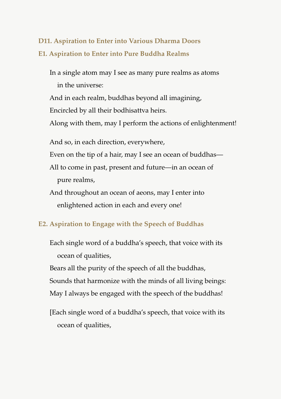# **D11. Aspiration to Enter into Various Dharma Doors E1. Aspiration to Enter into Pure Buddha Realms**

In a single atom may I see as many pure realms as atoms in the universe: And in each realm, buddhas beyond all imagining, Encircled by all their bodhisattva heirs. Along with them, may I perform the actions of enlightenment! And so, in each direction, everywhere, Even on the tip of a hair, may I see an ocean of buddhas— All to come in past, present and future—in an ocean of pure realms, And throughout an ocean of aeons, may I enter into enlightened action in each and every one!

## **E2. Aspiration to Engage with the Speech of Buddhas**

Each single word of a buddha's speech, that voice with its ocean of qualities,

Bears all the purity of the speech of all the buddhas, Sounds that harmonize with the minds of all living beings: May I always be engaged with the speech of the buddhas!

[Each single word of a buddha's speech, that voice with its ocean of qualities,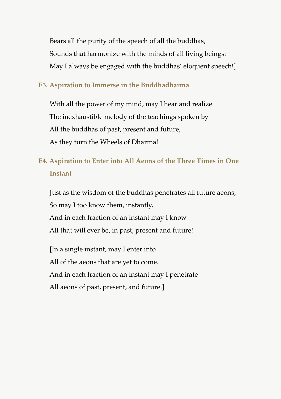Bears all the purity of the speech of all the buddhas, Sounds that harmonize with the minds of all living beings: May I always be engaged with the buddhas' eloquent speech!]

#### **E3. Aspiration to Immerse in the Buddhadharma**

With all the power of my mind, may I hear and realize The inexhaustible melody of the teachings spoken by All the buddhas of past, present and future, As they turn the Wheels of Dharma!

# **E4. Aspiration to Enter into All Aeons of the Three Times in One Instant**

Just as the wisdom of the buddhas penetrates all future aeons, So may I too know them, instantly, And in each fraction of an instant may I know All that will ever be, in past, present and future!

[In a single instant, may I enter into All of the aeons that are yet to come. And in each fraction of an instant may I penetrate All aeons of past, present, and future.]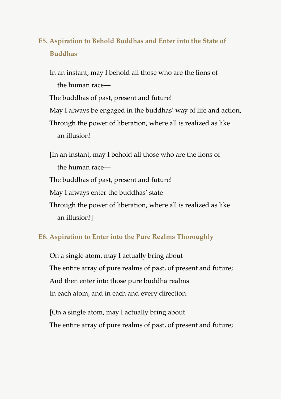# **E5. Aspiration to Behold Buddhas and Enter into the State of Buddhas**

In an instant, may I behold all those who are the lions of the human race— The buddhas of past, present and future! May I always be engaged in the buddhas' way of life and action,

Through the power of liberation, where all is realized as like

an illusion!

[In an instant, may I behold all those who are the lions of the human race— The buddhas of past, present and future! May I always enter the buddhas' state Through the power of liberation, where all is realized as like an illusion!]

# **E6. Aspiration to Enter into the Pure Realms Thoroughly**

On a single atom, may I actually bring about The entire array of pure realms of past, of present and future; And then enter into those pure buddha realms In each atom, and in each and every direction.

[On a single atom, may I actually bring about The entire array of pure realms of past, of present and future;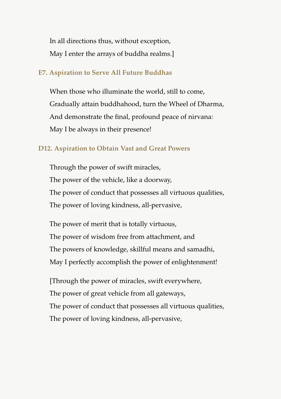In all directions thus, without exception, May I enter the arrays of buddha realms.]

#### **E7. Aspiration to Serve All Future Buddhas**

When those who illuminate the world, still to come, Gradually attain buddhahood, turn the Wheel of Dharma, And demonstrate the final, profound peace of nirvana: May I be always in their presence!

#### **D12. Aspiration to Obtain Vast and Great Powers**

Through the power of swift miracles, The power of the vehicle, like a doorway, The power of conduct that possesses all virtuous qualities, The power of loving kindness, all-pervasive,

The power of merit that is totally virtuous, The power of wisdom free from attachment, and The powers of knowledge, skillful means and samadhi, May I perfectly accomplish the power of enlightenment!

[Through the power of miracles, swift everywhere, The power of great vehicle from all gateways, The power of conduct that possesses all virtuous qualities, The power of loving kindness, all-pervasive,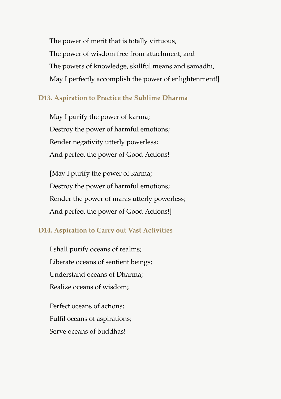The power of merit that is totally virtuous, The power of wisdom free from attachment, and The powers of knowledge, skillful means and samadhi, May I perfectly accomplish the power of enlightenment!]

### **D13. Aspiration to Practice the Sublime Dharma**

May I purify the power of karma; Destroy the power of harmful emotions; Render negativity utterly powerless; And perfect the power of Good Actions!

[May I purify the power of karma; Destroy the power of harmful emotions; Render the power of maras utterly powerless; And perfect the power of Good Actions!]

## **D14. Aspiration to Carry out Vast Activities**

I shall purify oceans of realms; Liberate oceans of sentient beings; Understand oceans of Dharma; Realize oceans of wisdom;

Perfect oceans of actions; Fulfil oceans of aspirations; Serve oceans of buddhas!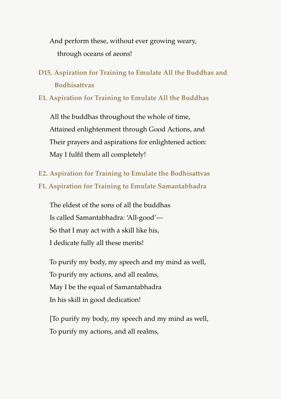And perform these, without ever growing weary, through oceans of aeons!

**D15. Aspiration for Training to Emulate All the Buddhas and Bodhisattvas**

**E1. Aspiration for Training to Emulate All the Buddhas**

All the buddhas throughout the whole of time, Attained enlightenment through Good Actions, and Their prayers and aspirations for enlightened action: May I fulfil them all completely!

**E2. Aspiration for Training to Emulate the Bodhisattvas F1. Aspiration for Training to Emulate Samantabhadra**

The eldest of the sons of all the buddhas Is called Samantabhadra: 'All-good'— So that I may act with a skill like his, I dedicate fully all these merits!

To purify my body, my speech and my mind as well, To purify my actions, and all realms, May I be the equal of Samantabhadra In his skill in good dedication!

[To purify my body, my speech and my mind as well, To purify my actions, and all realms,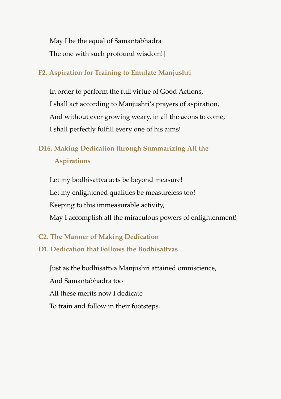May I be the equal of Samantabhadra The one with such profound wisdom!]

## **F2. Aspiration for Training to Emulate Manjushri**

In order to perform the full virtue of Good Actions, I shall act according to Manjushri's prayers of aspiration, And without ever growing weary, in all the aeons to come, I shall perfectly fulfill every one of his aims!

# **D16. Making Dedication through Summarizing All the**

## **Aspirations**

Let my bodhisattva acts be beyond measure! Let my enlightened qualities be measureless too! Keeping to this immeasurable activity, May I accomplish all the miraculous powers of enlightenment!

# **C2. The Manner of Making Dedication**

# **D1. Dedication that Follows the Bodhisattvas**

Just as the bodhisattva Manjushri attained omniscience, And Samantabhadra too All these merits now I dedicate To train and follow in their footsteps.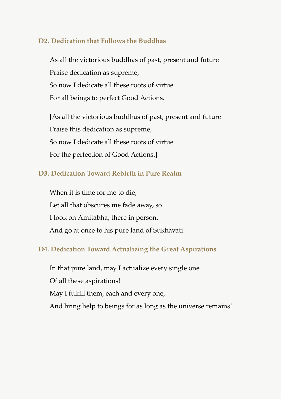### **D2. Dedication that Follows the Buddhas**

As all the victorious buddhas of past, present and future Praise dedication as supreme, So now I dedicate all these roots of virtue For all beings to perfect Good Actions.

[As all the victorious buddhas of past, present and future Praise this dedication as supreme, So now I dedicate all these roots of virtue For the perfection of Good Actions.]

# **D3. Dedication Toward Rebirth in Pure Realm**

When it is time for me to die, Let all that obscures me fade away, so I look on Amitabha, there in person, And go at once to his pure land of Sukhavati.

## **D4. Dedication Toward Actualizing the Great Aspirations**

In that pure land, may I actualize every single one Of all these aspirations! May I fulfill them, each and every one, And bring help to beings for as long as the universe remains!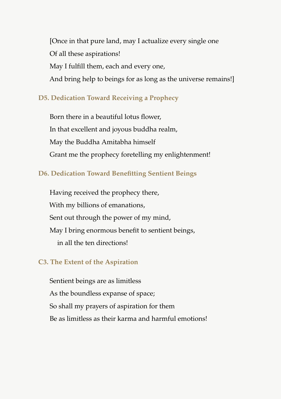[Once in that pure land, may I actualize every single one Of all these aspirations! May I fulfill them, each and every one, And bring help to beings for as long as the universe remains!]

## **D5. Dedication Toward Receiving a Prophecy**

Born there in a beautiful lotus flower, In that excellent and joyous buddha realm, May the Buddha Amitabha himself Grant me the prophecy foretelling my enlightenment!

### **D6. Dedication Toward Benefitting Sentient Beings**

Having received the prophecy there, With my billions of emanations, Sent out through the power of my mind, May I bring enormous benefit to sentient beings, in all the ten directions!

#### **C3. The Extent of the Aspiration**

Sentient beings are as limitless As the boundless expanse of space; So shall my prayers of aspiration for them Be as limitless as their karma and harmful emotions!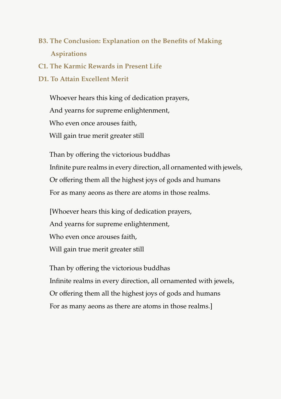# **B3. The Conclusion: Explanation on the Benefits of Making Aspirations**

**C1. The Karmic Rewards in Present Life**

### **D1. To Attain Excellent Merit**

Whoever hears this king of dedication prayers, And yearns for supreme enlightenment, Who even once arouses faith, Will gain true merit greater still

Than by offering the victorious buddhas Infinite pure realms in every direction, all ornamented with jewels, Or offering them all the highest joys of gods and humans For as many aeons as there are atoms in those realms.

[Whoever hears this king of dedication prayers, And yearns for supreme enlightenment, Who even once arouses faith. Will gain true merit greater still

Than by offering the victorious buddhas Infinite realms in every direction, all ornamented with jewels, Or offering them all the highest joys of gods and humans For as many aeons as there are atoms in those realms.]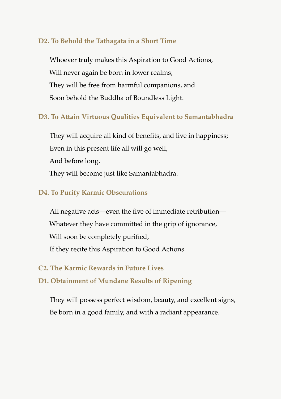### **D2. To Behold the Tathagata in a Short Time**

Whoever truly makes this Aspiration to Good Actions, Will never again be born in lower realms; They will be free from harmful companions, and Soon behold the Buddha of Boundless Light.

## **D3. To Attain Virtuous Qualities Equivalent to Samantabhadra**

They will acquire all kind of benefits, and live in happiness; Even in this present life all will go well, And before long, They will become just like Samantabhadra.

### **D4. To Purify Karmic Obscurations**

All negative acts—even the five of immediate retribution— Whatever they have committed in the grip of ignorance, Will soon be completely purified, If they recite this Aspiration to Good Actions.

#### **C2. The Karmic Rewards in Future Lives**

### **D1. Obtainment of Mundane Results of Ripening**

They will possess perfect wisdom, beauty, and excellent signs, Be born in a good family, and with a radiant appearance.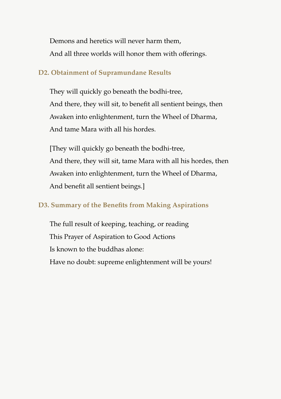Demons and heretics will never harm them, And all three worlds will honor them with offerings.

### **D2. Obtainment of Supramundane Results**

They will quickly go beneath the bodhi-tree, And there, they will sit, to benefit all sentient beings, then Awaken into enlightenment, turn the Wheel of Dharma, And tame Mara with all his hordes.

[They will quickly go beneath the bodhi-tree, And there, they will sit, tame Mara with all his hordes, then Awaken into enlightenment, turn the Wheel of Dharma, And benefit all sentient beings.]

# **D3. Summary of the Benefits from Making Aspirations**

The full result of keeping, teaching, or reading This Prayer of Aspiration to Good Actions Is known to the buddhas alone: Have no doubt: supreme enlightenment will be yours!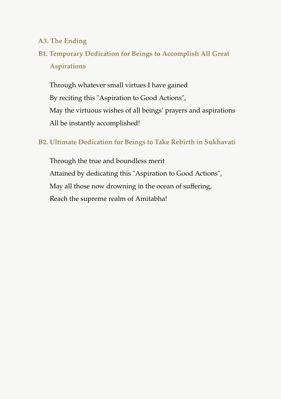### **A3. The Ending**

# **B1. Temporary Dedication for Beings to Accomplish All Great Aspirations**

Through whatever small virtues I have gained By reciting this "Aspiration to Good Actions", May the virtuous wishes of all beings' prayers and aspirations All be instantly accomplished!

# **B2. Ultimate Dedication for Beings to Take Rebirth in Sukhavati**

Through the true and boundless merit Attained by dedicating this "Aspiration to Good Actions", May all those now drowning in the ocean of suffering, Reach the supreme realm of Amitabha!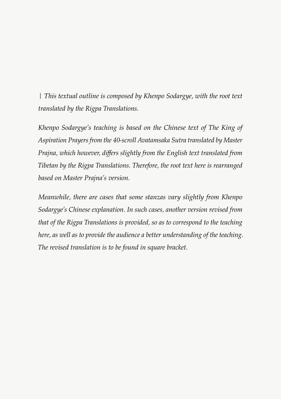*| This textual outline is composed by Khenpo Sodargye, with the root text translated by the Rigpa Translations.*

*Khenpo Sodargye's teaching is based on the Chinese text of The King of Aspiration Prayers from the 40-scroll Avatamsaka Sutra translated by Master Prajna, which however, differs slightly from the English text translated from Tibetan by the Rigpa Translations. Therefore, the root text here is rearranged based on Master Prajna's version.*

*Meanwhile, there are cases that some stanzas vary slightly from Khenpo Sodargye's Chinese explanation. In such cases, another version revised from that of the Rigpa Translations is provided, so as to correspond to the teaching here, as well as to provide the audience a better understanding of the teaching. The revised translation is to be found in square bracket.*